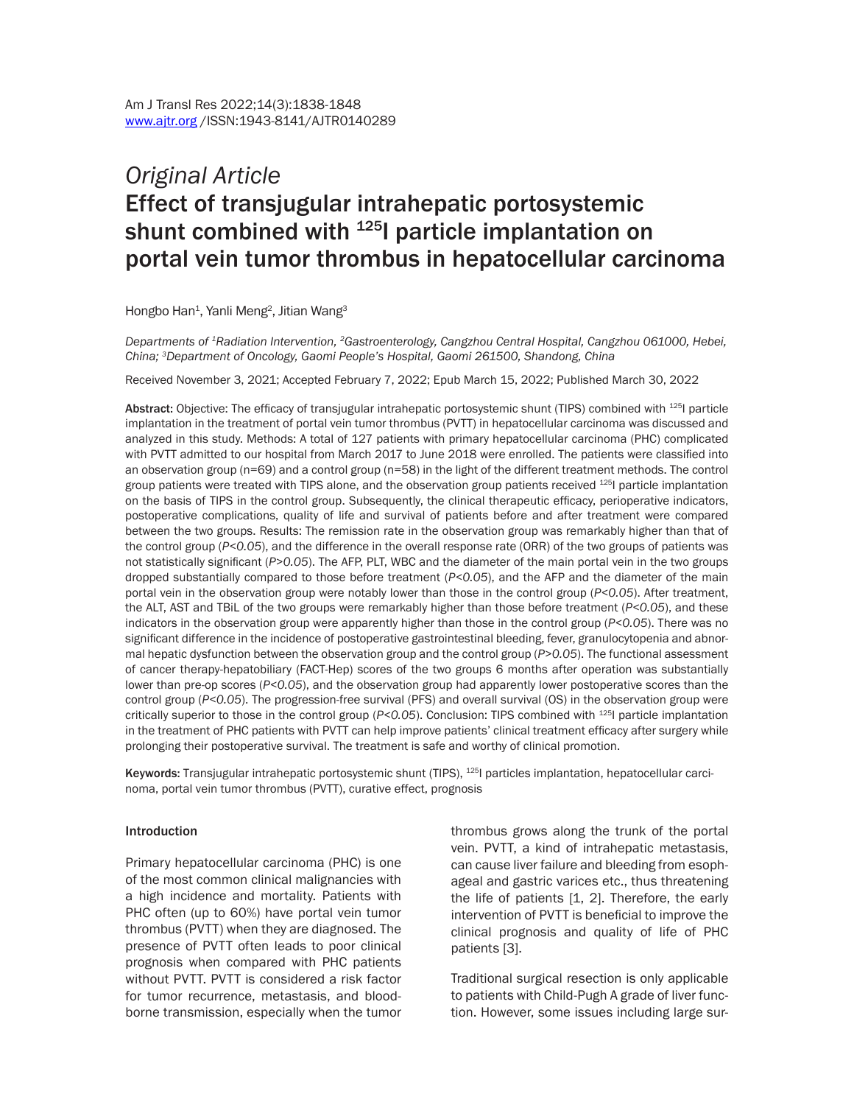# *Original Article* Effect of transjugular intrahepatic portosystemic shunt combined with  $125$  particle implantation on portal vein tumor thrombus in hepatocellular carcinoma

Hongbo Han<sup>1</sup>, Yanli Meng<sup>2</sup>, Jitian Wang<sup>3</sup>

*Departments of 1Radiation Intervention, 2Gastroenterology, Cangzhou Central Hospital, Cangzhou 061000, Hebei, China; 3Department of Oncology, Gaomi People's Hospital, Gaomi 261500, Shandong, China*

Received November 3, 2021; Accepted February 7, 2022; Epub March 15, 2022; Published March 30, 2022

Abstract: Objective: The efficacy of transjugular intrahepatic portosystemic shunt (TIPS) combined with <sup>125</sup>l particle implantation in the treatment of portal vein tumor thrombus (PVTT) in hepatocellular carcinoma was discussed and analyzed in this study. Methods: A total of 127 patients with primary hepatocellular carcinoma (PHC) complicated with PVTT admitted to our hospital from March 2017 to June 2018 were enrolled. The patients were classified into an observation group (n=69) and a control group (n=58) in the light of the different treatment methods. The control group patients were treated with TIPS alone, and the observation group patients received <sup>125</sup>l particle implantation on the basis of TIPS in the control group. Subsequently, the clinical therapeutic efficacy, perioperative indicators, postoperative complications, quality of life and survival of patients before and after treatment were compared between the two groups. Results: The remission rate in the observation group was remarkably higher than that of the control group (*P<0.05*), and the difference in the overall response rate (ORR) of the two groups of patients was not statistically significant (*P>0.05*). The AFP, PLT, WBC and the diameter of the main portal vein in the two groups dropped substantially compared to those before treatment (*P<0.05*), and the AFP and the diameter of the main portal vein in the observation group were notably lower than those in the control group (*P<0.05*). After treatment, the ALT, AST and TBiL of the two groups were remarkably higher than those before treatment (*P<0.05*), and these indicators in the observation group were apparently higher than those in the control group (*P<0.05*). There was no significant difference in the incidence of postoperative gastrointestinal bleeding, fever, granulocytopenia and abnormal hepatic dysfunction between the observation group and the control group (*P>0.05*). The functional assessment of cancer therapy-hepatobiliary (FACT-Hep) scores of the two groups 6 months after operation was substantially lower than pre-op scores (*P<0.05*), and the observation group had apparently lower postoperative scores than the control group (P<0.05). The progression-free survival (PFS) and overall survival (OS) in the observation group were critically superior to those in the control group (*P<0.05*). Conclusion: TIPS combined with 125I particle implantation in the treatment of PHC patients with PVTT can help improve patients' clinical treatment efficacy after surgery while prolonging their postoperative survival. The treatment is safe and worthy of clinical promotion.

Keywords: Transjugular intrahepatic portosystemic shunt (TIPS), <sup>125</sup>l particles implantation, hepatocellular carcinoma, portal vein tumor thrombus (PVTT), curative effect, prognosis

#### Introduction

Primary hepatocellular carcinoma (PHC) is one of the most common clinical malignancies with a high incidence and mortality. Patients with PHC often (up to 60%) have portal vein tumor thrombus (PVTT) when they are diagnosed. The presence of PVTT often leads to poor clinical prognosis when compared with PHC patients without PVTT. PVTT is considered a risk factor for tumor recurrence, metastasis, and bloodborne transmission, especially when the tumor thrombus grows along the trunk of the portal vein. PVTT, a kind of intrahepatic metastasis, can cause liver failure and bleeding from esophageal and gastric varices etc., thus threatening the life of patients [1, 2]. Therefore, the early intervention of PVTT is beneficial to improve the clinical prognosis and quality of life of PHC patients [3].

Traditional surgical resection is only applicable to patients with Child-Pugh A grade of liver function. However, some issues including large sur-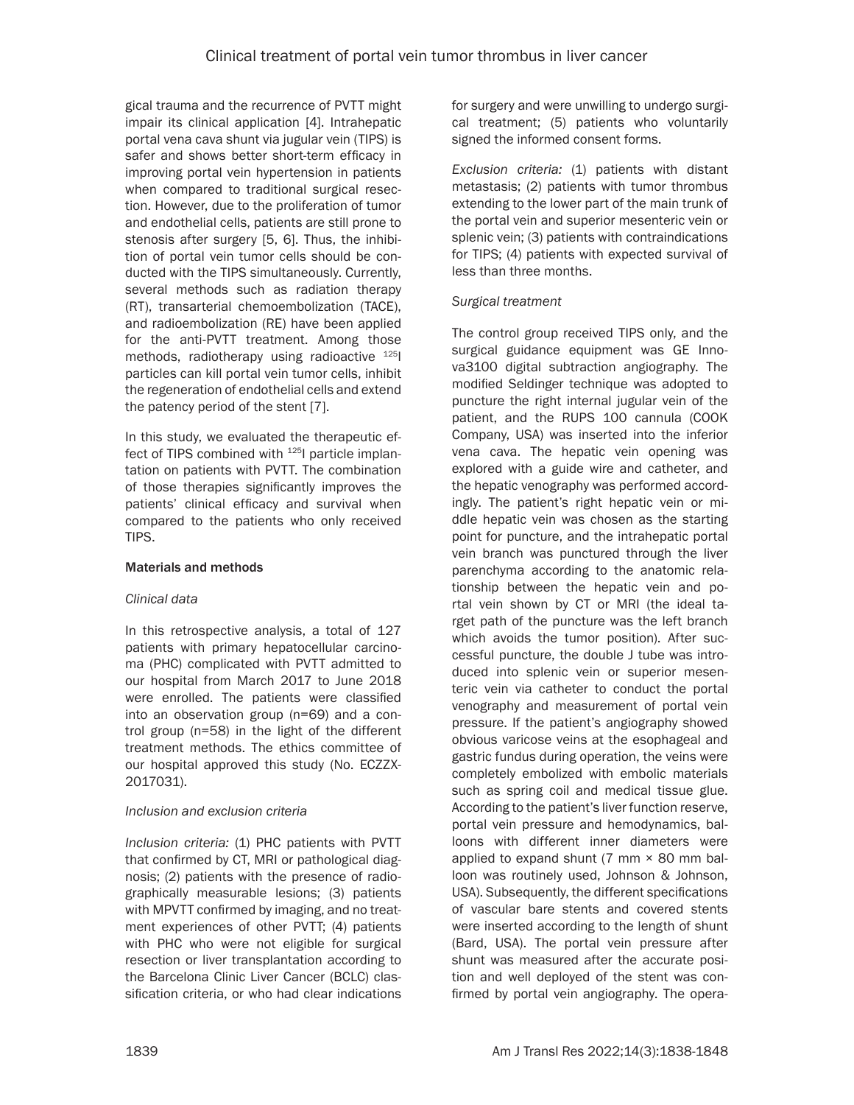gical trauma and the recurrence of PVTT might impair its clinical application [4]. Intrahepatic portal vena cava shunt via jugular vein (TIPS) is safer and shows better short-term efficacy in improving portal vein hypertension in patients when compared to traditional surgical resection. However, due to the proliferation of tumor and endothelial cells, patients are still prone to stenosis after surgery [5, 6]. Thus, the inhibition of portal vein tumor cells should be conducted with the TIPS simultaneously. Currently, several methods such as radiation therapy (RT), transarterial chemoembolization (TACE), and radioembolization (RE) have been applied for the anti-PVTT treatment. Among those methods, radiotherapy using radioactive <sup>125</sup>I particles can kill portal vein tumor cells, inhibit the regeneration of endothelial cells and extend the patency period of the stent [7].

In this study, we evaluated the therapeutic effect of TIPS combined with <sup>125</sup>l particle implantation on patients with PVTT. The combination of those therapies significantly improves the patients' clinical efficacy and survival when compared to the patients who only received TIPS.

## Materials and methods

## *Clinical data*

In this retrospective analysis, a total of 127 patients with primary hepatocellular carcinoma (PHC) complicated with PVTT admitted to our hospital from March 2017 to June 2018 were enrolled. The patients were classified into an observation group (n=69) and a control group (n=58) in the light of the different treatment methods. The ethics committee of our hospital approved this study (No. ECZZX-2017031).

## *Inclusion and exclusion criteria*

*Inclusion criteria:* (1) PHC patients with PVTT that confirmed by CT, MRI or pathological diagnosis; (2) patients with the presence of radiographically measurable lesions; (3) patients with MPVTT confirmed by imaging, and no treatment experiences of other PVTT; (4) patients with PHC who were not eligible for surgical resection or liver transplantation according to the Barcelona Clinic Liver Cancer (BCLC) classification criteria, or who had clear indications for surgery and were unwilling to undergo surgical treatment; (5) patients who voluntarily signed the informed consent forms.

*Exclusion criteria:* (1) patients with distant metastasis; (2) patients with tumor thrombus extending to the lower part of the main trunk of the portal vein and superior mesenteric vein or splenic vein; (3) patients with contraindications for TIPS; (4) patients with expected survival of less than three months.

## *Surgical treatment*

The control group received TIPS only, and the surgical guidance equipment was GE Innova3100 digital subtraction angiography. The modified Seldinger technique was adopted to puncture the right internal jugular vein of the patient, and the RUPS 100 cannula (COOK Company, USA) was inserted into the inferior vena cava. The hepatic vein opening was explored with a guide wire and catheter, and the hepatic venography was performed accordingly. The patient's right hepatic vein or middle hepatic vein was chosen as the starting point for puncture, and the intrahepatic portal vein branch was punctured through the liver parenchyma according to the anatomic relationship between the hepatic vein and portal vein shown by CT or MRI (the ideal target path of the puncture was the left branch which avoids the tumor position). After successful puncture, the double J tube was introduced into splenic vein or superior mesenteric vein via catheter to conduct the portal venography and measurement of portal vein pressure. If the patient's angiography showed obvious varicose veins at the esophageal and gastric fundus during operation, the veins were completely embolized with embolic materials such as spring coil and medical tissue glue. According to the patient's liver function reserve, portal vein pressure and hemodynamics, balloons with different inner diameters were applied to expand shunt  $(7 \text{ mm} \times 80 \text{ mm} \text{ bal-}$ loon was routinely used, Johnson & Johnson, USA). Subsequently, the different specifications of vascular bare stents and covered stents were inserted according to the length of shunt (Bard, USA). The portal vein pressure after shunt was measured after the accurate position and well deployed of the stent was confirmed by portal vein angiography. The opera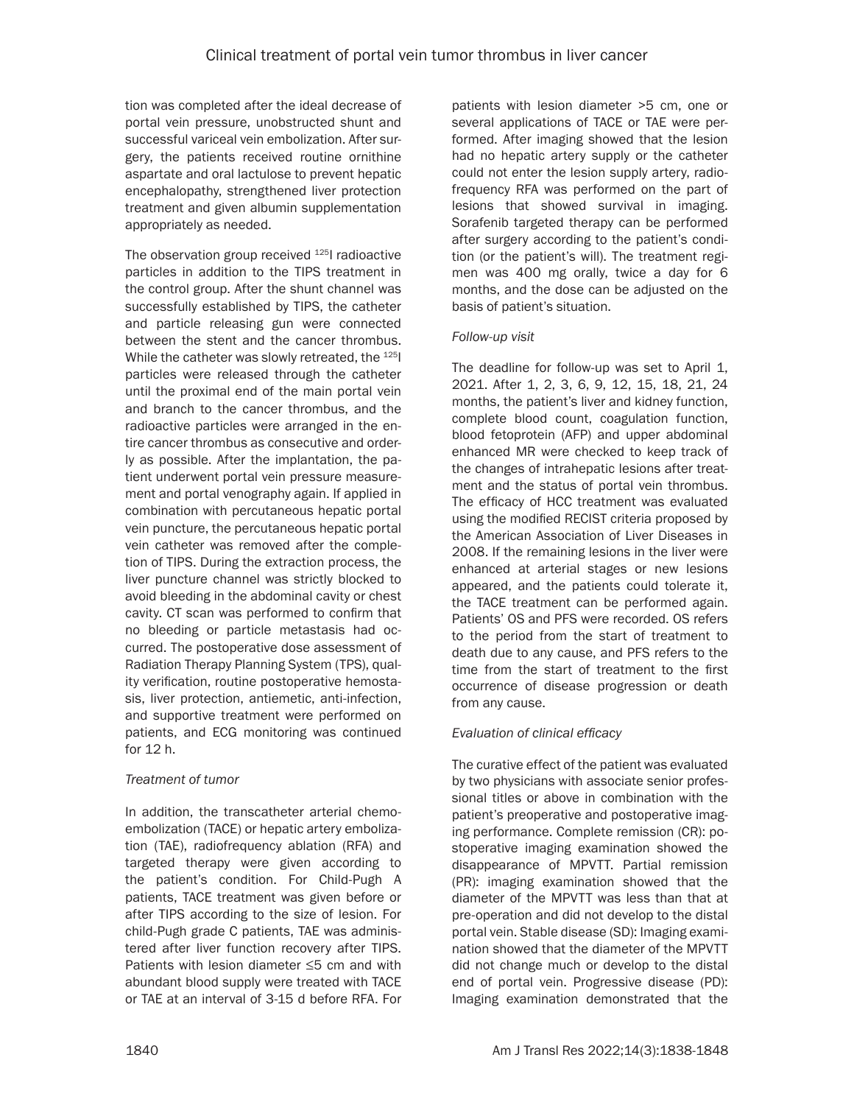tion was completed after the ideal decrease of portal vein pressure, unobstructed shunt and successful variceal vein embolization. After surgery, the patients received routine ornithine aspartate and oral lactulose to prevent hepatic encephalopathy, strengthened liver protection treatment and given albumin supplementation appropriately as needed.

The observation group received <sup>125</sup>I radioactive particles in addition to the TIPS treatment in the control group. After the shunt channel was successfully established by TIPS, the catheter and particle releasing gun were connected between the stent and the cancer thrombus. While the catheter was slowly retreated, the <sup>125</sup>I particles were released through the catheter until the proximal end of the main portal vein and branch to the cancer thrombus, and the radioactive particles were arranged in the entire cancer thrombus as consecutive and orderly as possible. After the implantation, the patient underwent portal vein pressure measurement and portal venography again. If applied in combination with percutaneous hepatic portal vein puncture, the percutaneous hepatic portal vein catheter was removed after the completion of TIPS. During the extraction process, the liver puncture channel was strictly blocked to avoid bleeding in the abdominal cavity or chest cavity. CT scan was performed to confirm that no bleeding or particle metastasis had occurred. The postoperative dose assessment of Radiation Therapy Planning System (TPS), quality verification, routine postoperative hemostasis, liver protection, antiemetic, anti-infection, and supportive treatment were performed on patients, and ECG monitoring was continued for 12 h.

# *Treatment of tumor*

In addition, the transcatheter arterial chemoembolization (TACE) or hepatic artery embolization (TAE), radiofrequency ablation (RFA) and targeted therapy were given according to the patient's condition. For Child-Pugh A patients, TACE treatment was given before or after TIPS according to the size of lesion. For child-Pugh grade C patients, TAE was administered after liver function recovery after TIPS. Patients with lesion diameter ≤5 cm and with abundant blood supply were treated with TACE or TAE at an interval of 3-15 d before RFA. For patients with lesion diameter >5 cm, one or several applications of TACE or TAE were performed. After imaging showed that the lesion had no hepatic artery supply or the catheter could not enter the lesion supply artery, radiofrequency RFA was performed on the part of lesions that showed survival in imaging. Sorafenib targeted therapy can be performed after surgery according to the patient's condition (or the patient's will). The treatment regimen was 400 mg orally, twice a day for 6 months, and the dose can be adjusted on the basis of patient's situation.

## *Follow-up visit*

The deadline for follow-up was set to April 1, 2021. After 1, 2, 3, 6, 9, 12, 15, 18, 21, 24 months, the patient's liver and kidney function, complete blood count, coagulation function, blood fetoprotein (AFP) and upper abdominal enhanced MR were checked to keep track of the changes of intrahepatic lesions after treatment and the status of portal vein thrombus. The efficacy of HCC treatment was evaluated using the modified RECIST criteria proposed by the American Association of Liver Diseases in 2008. If the remaining lesions in the liver were enhanced at arterial stages or new lesions appeared, and the patients could tolerate it, the TACE treatment can be performed again. Patients' OS and PFS were recorded. OS refers to the period from the start of treatment to death due to any cause, and PFS refers to the time from the start of treatment to the first occurrence of disease progression or death from any cause.

# *Evaluation of clinical efficacy*

The curative effect of the patient was evaluated by two physicians with associate senior professional titles or above in combination with the patient's preoperative and postoperative imaging performance. Complete remission (CR): postoperative imaging examination showed the disappearance of MPVTT. Partial remission (PR): imaging examination showed that the diameter of the MPVTT was less than that at pre-operation and did not develop to the distal portal vein. Stable disease (SD): Imaging examination showed that the diameter of the MPVTT did not change much or develop to the distal end of portal vein. Progressive disease (PD): Imaging examination demonstrated that the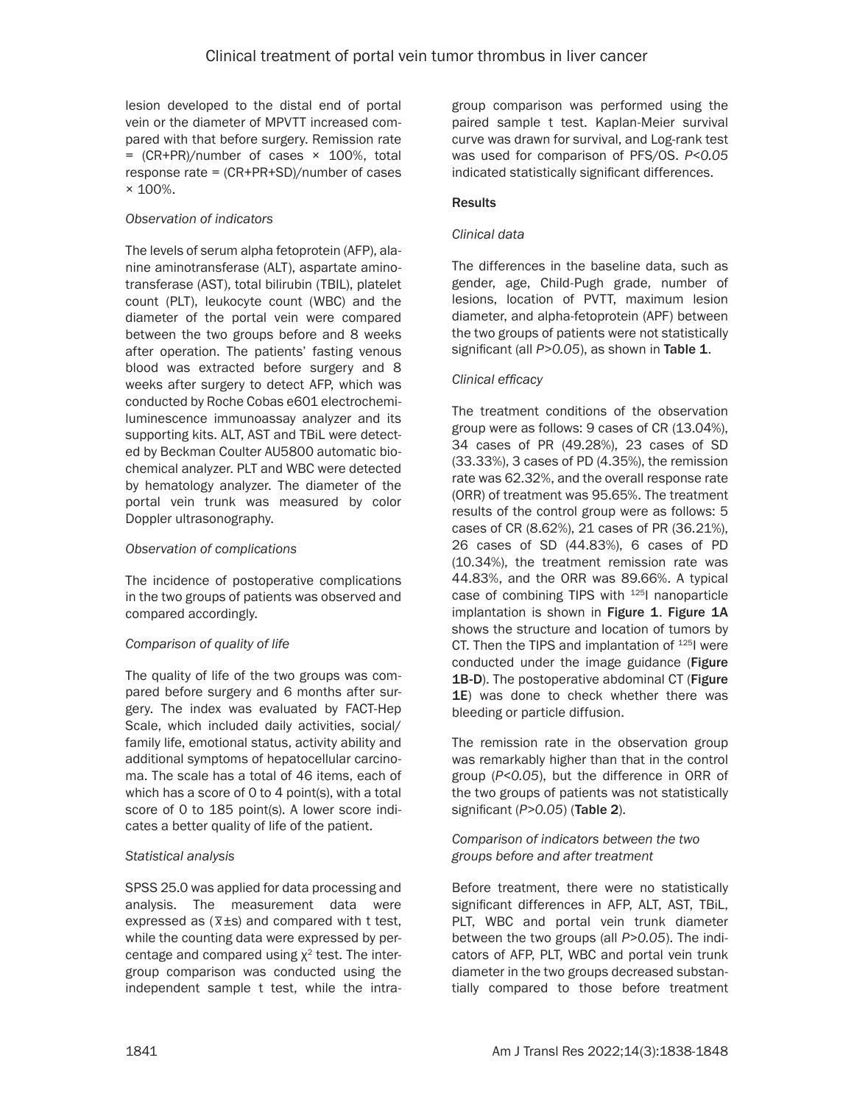lesion developed to the distal end of portal vein or the diameter of MPVTT increased compared with that before surgery. Remission rate  $=$  (CR+PR)/number of cases  $\times$  100%, total response rate = (CR+PR+SD)/number of cases  $\times$  100%

## *Observation of indicators*

The levels of serum alpha fetoprotein (AFP), alanine aminotransferase (ALT), aspartate aminotransferase (AST), total bilirubin (TBIL), platelet count (PLT), leukocyte count (WBC) and the diameter of the portal vein were compared between the two groups before and 8 weeks after operation. The patients' fasting venous blood was extracted before surgery and 8 weeks after surgery to detect AFP, which was conducted by Roche Cobas e601 electrochemiluminescence immunoassay analyzer and its supporting kits. ALT, AST and TBiL were detected by Beckman Coulter AU5800 automatic biochemical analyzer. PLT and WBC were detected by hematology analyzer. The diameter of the portal vein trunk was measured by color Doppler ultrasonography.

## *Observation of complications*

The incidence of postoperative complications in the two groups of patients was observed and compared accordingly.

## *Comparison of quality of life*

The quality of life of the two groups was compared before surgery and 6 months after surgery. The index was evaluated by FACT-Hep Scale, which included daily activities, social/ family life, emotional status, activity ability and additional symptoms of hepatocellular carcinoma. The scale has a total of 46 items, each of which has a score of 0 to 4 point(s), with a total score of 0 to 185 point(s). A lower score indicates a better quality of life of the patient.

## *Statistical analysis*

SPSS 25.0 was applied for data processing and analysis. The measurement data were expressed as (*\_ x*±s) and compared with t test, while the counting data were expressed by percentage and compared using  $\chi^2$  test. The intergroup comparison was conducted using the independent sample t test, while the intragroup comparison was performed using the paired sample t test. Kaplan-Meier survival curve was drawn for survival, and Log-rank test was used for comparison of PFS/OS. *P<0.05* indicated statistically significant differences.

## **Results**

## *Clinical data*

The differences in the baseline data, such as gender, age, Child-Pugh grade, number of lesions, location of PVTT, maximum lesion diameter, and alpha-fetoprotein (APF) between the two groups of patients were not statistically significant (all *P*>0.05), as shown in Table 1.

## *Clinical efficacy*

The treatment conditions of the observation group were as follows: 9 cases of CR (13.04%), 34 cases of PR (49.28%), 23 cases of SD (33.33%), 3 cases of PD (4.35%), the remission rate was 62.32%, and the overall response rate (ORR) of treatment was 95.65%. The treatment results of the control group were as follows: 5 cases of CR (8.62%), 21 cases of PR (36.21%), 26 cases of SD (44.83%), 6 cases of PD (10.34%), the treatment remission rate was 44.83%, and the ORR was 89.66%. A typical case of combining TIPS with <sup>125</sup>l nanoparticle implantation is shown in Figure 1. Figure 1A shows the structure and location of tumors by CT. Then the TIPS and implantation of <sup>125</sup>I were conducted under the image guidance (Figure 1B-D). The postoperative abdominal CT (Figure 1E) was done to check whether there was bleeding or particle diffusion.

The remission rate in the observation group was remarkably higher than that in the control group (*P<0.05*), but the difference in ORR of the two groups of patients was not statistically significant (*P>0.05*) (Table 2).

## *Comparison of indicators between the two groups before and after treatment*

Before treatment, there were no statistically significant differences in AFP, ALT, AST, TBiL, PLT, WBC and portal vein trunk diameter between the two groups (all *P>0.05*). The indicators of AFP, PLT, WBC and portal vein trunk diameter in the two groups decreased substantially compared to those before treatment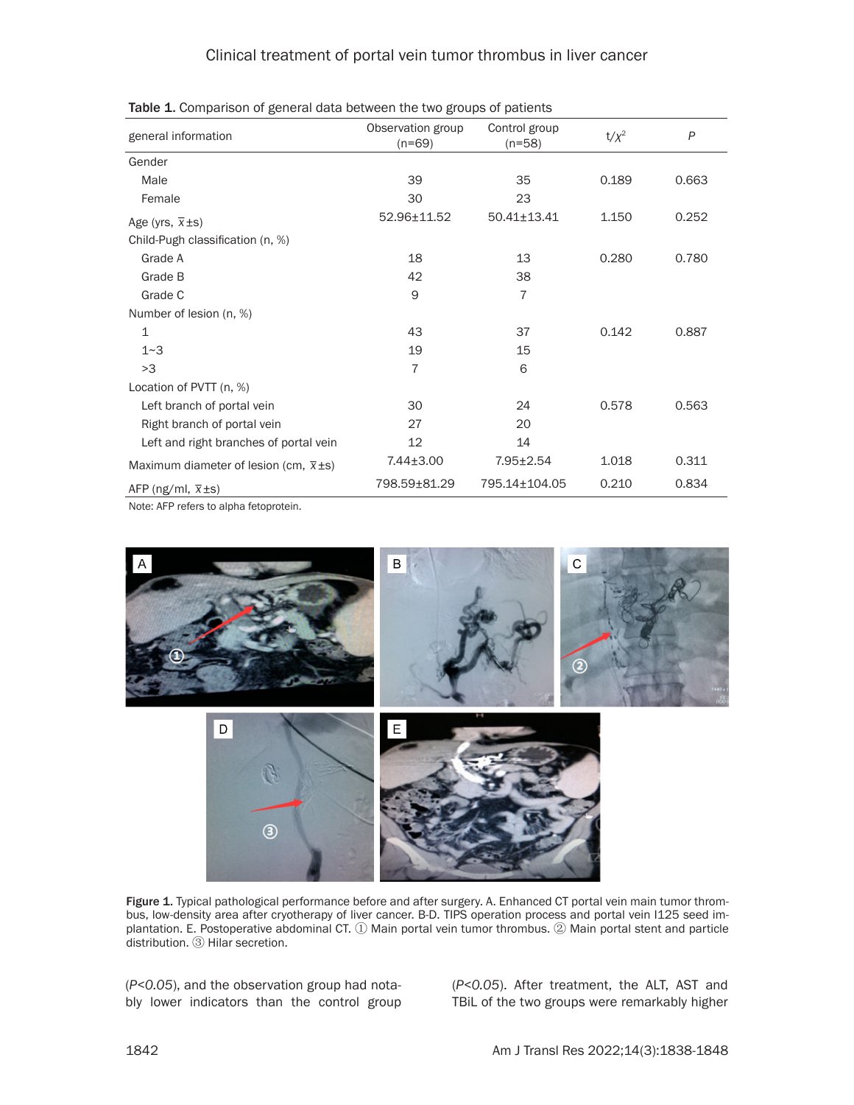| general information                           | Observation group<br>Control group<br>$(n=69)$<br>$(n=58)$ |                   | $t/x^2$ | P     |
|-----------------------------------------------|------------------------------------------------------------|-------------------|---------|-------|
| Gender                                        |                                                            |                   |         |       |
| Male                                          | 39                                                         | 35                | 0.189   | 0.663 |
| Female                                        | 30                                                         | 23                |         |       |
| Age (yrs, $\bar{x}$ ±s)                       | 52.96±11.52                                                | $50.41 \pm 13.41$ | 1.150   | 0.252 |
| Child-Pugh classification (n, %)              |                                                            |                   |         |       |
| Grade A                                       | 18                                                         | 13                | 0.280   | 0.780 |
| Grade B                                       | 42                                                         | 38                |         |       |
| Grade C                                       | 9                                                          | $\overline{7}$    |         |       |
| Number of lesion (n, %)                       |                                                            |                   |         |       |
| 1                                             | 43                                                         | 37                | 0.142   | 0.887 |
| 1~3                                           | 19                                                         | 15                |         |       |
| >3                                            | 7                                                          | 6                 |         |       |
| Location of PVTT (n, %)                       |                                                            |                   |         |       |
| Left branch of portal vein                    | 30                                                         | 24                | 0.578   | 0.563 |
| Right branch of portal vein                   | 27                                                         | 20                |         |       |
| Left and right branches of portal vein        | 12                                                         | 14                |         |       |
| Maximum diameter of lesion (cm, $\bar{x}$ ±s) | $7.44 \pm 3.00$                                            | $7.95 \pm 2.54$   | 1.018   | 0.311 |
| AFP (ng/ml, $\bar{x}$ ±s)                     | 798.59±81.29                                               | 795.14±104.05     | 0.210   | 0.834 |

Note: AFP refers to alpha fetoprotein.



Figure 1. Typical pathological performance before and after surgery. A. Enhanced CT portal vein main tumor thrombus, low-density area after cryotherapy of liver cancer. B-D. TIPS operation process and portal vein I125 seed implantation. E. Postoperative abdominal CT. ① Main portal vein tumor thrombus. ② Main portal stent and particle distribution. ③ Hilar secretion.

(*P<0.05*), and the observation group had notably lower indicators than the control group

(*P<0.05*). After treatment, the ALT, AST and TBiL of the two groups were remarkably higher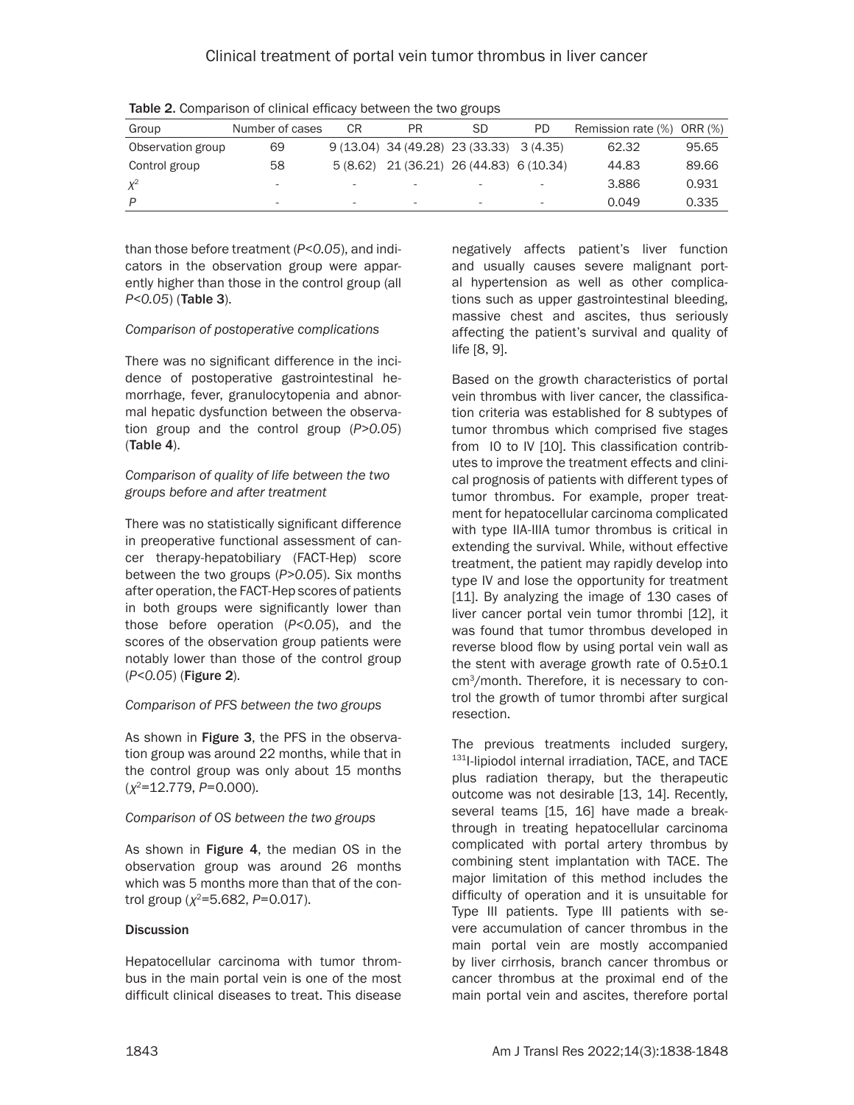| Group             | Number of cases          | СR                       | PR                       | <b>SD</b>                                 | PD | Remission rate (%) ORR (%) |       |
|-------------------|--------------------------|--------------------------|--------------------------|-------------------------------------------|----|----------------------------|-------|
| Observation group | 69                       |                          |                          | $9(13.04)$ 34 (49.28) 23 (33.33) 3 (4.35) |    | 62.32                      | 95.65 |
| Control group     | 58                       | 5 (8.62)                 |                          | 21 (36.21) 26 (44.83) 6 (10.34)           |    | 44.83                      | 89.66 |
|                   | $\overline{\phantom{a}}$ |                          | $\overline{\phantom{a}}$ | ۰                                         | -  | 3.886                      | 0.931 |
| D                 | -                        | $\overline{\phantom{a}}$ | $\overline{\phantom{a}}$ | $\overline{\phantom{a}}$                  | -  | 0.049                      | 0.335 |

Table 2. Comparison of clinical efficacy between the two groups

than those before treatment (*P<0.05*), and indicators in the observation group were apparently higher than those in the control group (all *P<0.05*) (Table 3).

#### *Comparison of postoperative complications*

There was no significant difference in the incidence of postoperative gastrointestinal hemorrhage, fever, granulocytopenia and abnormal hepatic dysfunction between the observation group and the control group (*P>0.05*) (Table 4).

#### *Comparison of quality of life between the two groups before and after treatment*

There was no statistically significant difference in preoperative functional assessment of cancer therapy-hepatobiliary (FACT-Hep) score between the two groups (*P>0.05*). Six months after operation, the FACT-Hep scores of patients in both groups were significantly lower than those before operation (*P<0.05*), and the scores of the observation group patients were notably lower than those of the control group (*P<0.05*) (Figure 2).

#### *Comparison of PFS between the two groups*

As shown in Figure 3, the PFS in the observation group was around 22 months, while that in the control group was only about 15 months (*χ*2=12.779, *P*=0.000).

#### *Comparison of OS between the two groups*

As shown in Figure 4, the median OS in the observation group was around 26 months which was 5 months more than that of the control group (*χ*2=5.682, *P*=0.017).

#### **Discussion**

Hepatocellular carcinoma with tumor thrombus in the main portal vein is one of the most difficult clinical diseases to treat. This disease

negatively affects patient's liver function and usually causes severe malignant portal hypertension as well as other complications such as upper gastrointestinal bleeding, massive chest and ascites, thus seriously affecting the patient's survival and quality of life [8, 9].

Based on the growth characteristics of portal vein thrombus with liver cancer, the classification criteria was established for 8 subtypes of tumor thrombus which comprised five stages from I0 to IV [10]. This classification contributes to improve the treatment effects and clinical prognosis of patients with different types of tumor thrombus. For example, proper treatment for hepatocellular carcinoma complicated with type IIA-IIIA tumor thrombus is critical in extending the survival. While, without effective treatment, the patient may rapidly develop into type IV and lose the opportunity for treatment [11]. By analyzing the image of 130 cases of liver cancer portal vein tumor thrombi [12], it was found that tumor thrombus developed in reverse blood flow by using portal vein wall as the stent with average growth rate of 0.5±0.1 cm3/month. Therefore, it is necessary to control the growth of tumor thrombi after surgical resection.

The previous treatments included surgery, 131I-lipiodol internal irradiation, TACE, and TACE plus radiation therapy, but the therapeutic outcome was not desirable [13, 14]. Recently, several teams [15, 16] have made a breakthrough in treating hepatocellular carcinoma complicated with portal artery thrombus by combining stent implantation with TACE. The major limitation of this method includes the difficulty of operation and it is unsuitable for Type III patients. Type III patients with severe accumulation of cancer thrombus in the main portal vein are mostly accompanied by liver cirrhosis, branch cancer thrombus or cancer thrombus at the proximal end of the main portal vein and ascites, therefore portal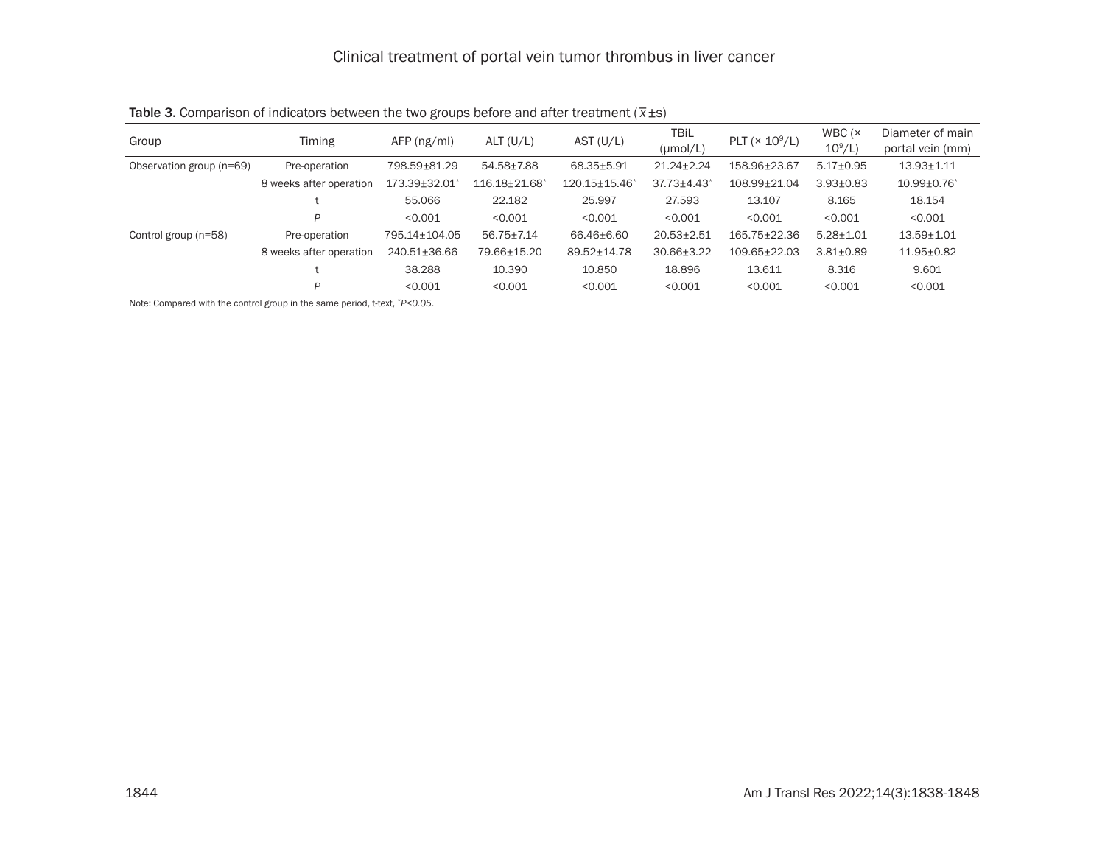| Group                    | Timing                  | $AFP$ (ng/ml) | ALT (U/L)                 | AST $(U/L)$          | <b>TBiL</b><br>$(\mu \text{mol/L})$ | PLT $(\times 10^9/L)$ | WBC $(x)$<br>$10^9$ /L) | Diameter of main<br>portal vein (mm) |
|--------------------------|-------------------------|---------------|---------------------------|----------------------|-------------------------------------|-----------------------|-------------------------|--------------------------------------|
| Observation group (n=69) | Pre-operation           | 798.59±81.29  | 54.58±7.88                | 68.35±5.91           | $21.24 \pm 2.24$                    | 158.96±23.67          | $5.17 \pm 0.95$         | $13.93 \pm 1.11$                     |
|                          | 8 weeks after operation | 173.39±32.01  | 116.18±21.68 <sup>*</sup> | $120.15 \pm 15.46^*$ | $37.73 \pm 4.43$ *                  | 108.99±21.04          | $3.93 \pm 0.83$         | $10.99 \pm 0.76$                     |
|                          |                         | 55.066        | 22.182                    | 25.997               | 27.593                              | 13.107                | 8.165                   | 18.154                               |
|                          | P                       | < 0.001       | < 0.001                   | < 0.001              | < 0.001                             | < 0.001               | < 0.001                 | < 0.001                              |
| Control group (n=58)     | Pre-operation           | 795.14±104.05 | 56.75+7.14                | 66.46+6.60           | $20.53 \pm 2.51$                    | 165.75±22.36          | $5.28 \pm 1.01$         | $13.59 + 1.01$                       |
|                          | 8 weeks after operation | 240.51±36.66  | 79.66±15.20               | 89.52±14.78          | $30.66 \pm 3.22$                    | $109.65 \pm 22.03$    | $3.81 \pm 0.89$         | $11.95 \pm 0.82$                     |
|                          |                         | 38.288        | 10.390                    | 10.850               | 18.896                              | 13.611                | 8.316                   | 9.601                                |
|                          | P                       | < 0.001       | < 0.001                   | < 0.001              | < 0.001                             | < 0.001               | < 0.001                 | < 0.001                              |

Table 3. Comparison of indicators between the two groups before and after treatment (*\_ x*±s)

Note: Compared with the control group in the same period, t-text, \**P<0.05*.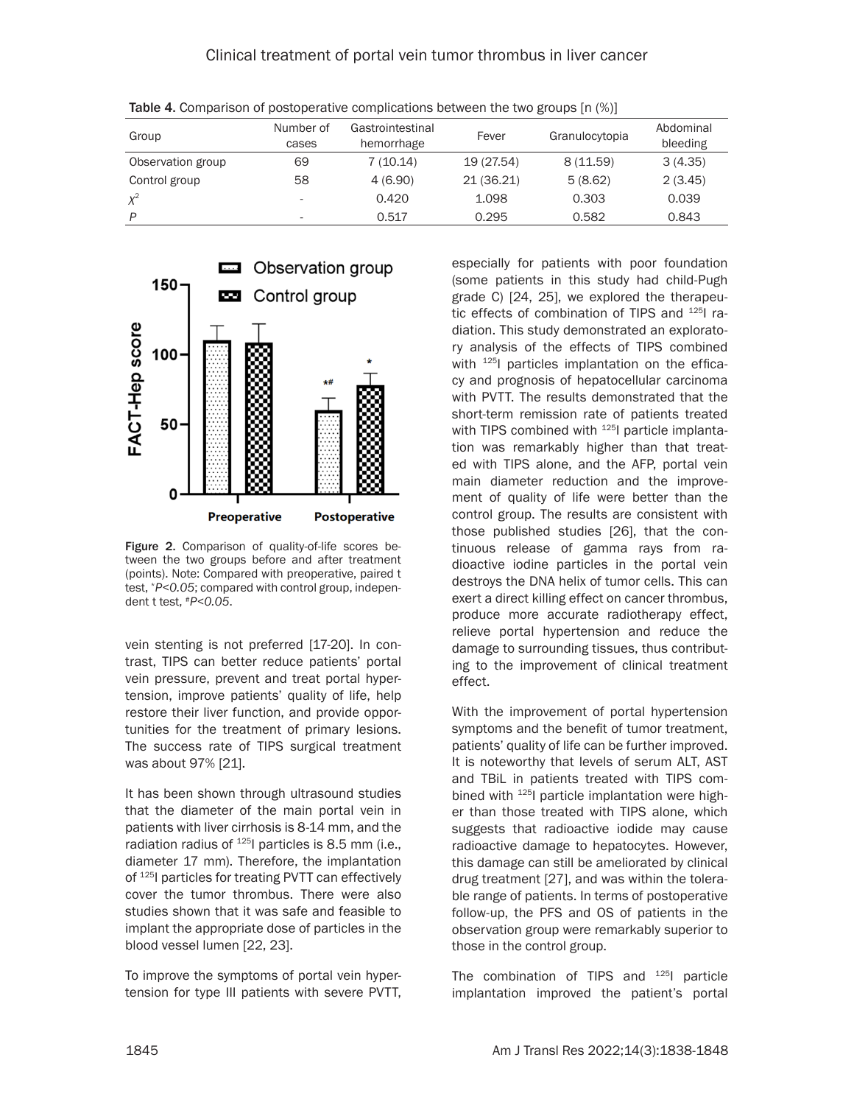| Group             | Number of<br>cases | Gastrointestinal<br>hemorrhage | Fever      | Granulocytopia | Abdominal<br>bleeding |
|-------------------|--------------------|--------------------------------|------------|----------------|-----------------------|
| Observation group | 69                 | 7(10.14)                       | 19 (27.54) | 8(11.59)       | 3(4.35)               |
| Control group     | 58                 | 4(6.90)                        | 21 (36.21) | 5(8.62)        | 2(3.45)               |
| $X^2$             |                    | 0.420                          | 1.098      | 0.303          | 0.039                 |
| D                 | -                  | 0.517                          | 0.295      | 0.582          | 0.843                 |

Table 4. Comparison of postoperative complications between the two groups  $[n \, (\%)]$ 



Figure 2. Comparison of quality-of-life scores between the two groups before and after treatment (points). Note: Compared with preoperative, paired t test, \**P<0.05*; compared with control group, independent t test, #*P<0.05*.

vein stenting is not preferred [17-20]. In contrast, TIPS can better reduce patients' portal vein pressure, prevent and treat portal hypertension, improve patients' quality of life, help restore their liver function, and provide opportunities for the treatment of primary lesions. The success rate of TIPS surgical treatment was about 97% [21].

It has been shown through ultrasound studies that the diameter of the main portal vein in patients with liver cirrhosis is 8-14 mm, and the radiation radius of  $^{125}$ I particles is 8.5 mm (i.e., diameter 17 mm). Therefore, the implantation of <sup>125</sup>I particles for treating PVTT can effectively cover the tumor thrombus. There were also studies shown that it was safe and feasible to implant the appropriate dose of particles in the blood vessel lumen [22, 23].

To improve the symptoms of portal vein hypertension for type III patients with severe PVTT,

especially for patients with poor foundation (some patients in this study had child-Pugh grade C) [24, 25], we explored the therapeutic effects of combination of TIPS and <sup>125</sup>I radiation. This study demonstrated an exploratory analysis of the effects of TIPS combined with  $125$  particles implantation on the efficacy and prognosis of hepatocellular carcinoma with PVTT. The results demonstrated that the short-term remission rate of patients treated with TIPS combined with  $125$  particle implantation was remarkably higher than that treated with TIPS alone, and the AFP, portal vein main diameter reduction and the improvement of quality of life were better than the control group. The results are consistent with those published studies [26], that the continuous release of gamma rays from radioactive iodine particles in the portal vein destroys the DNA helix of tumor cells. This can exert a direct killing effect on cancer thrombus, produce more accurate radiotherapy effect, relieve portal hypertension and reduce the damage to surrounding tissues, thus contributing to the improvement of clinical treatment effect.

With the improvement of portal hypertension symptoms and the benefit of tumor treatment, patients' quality of life can be further improved. It is noteworthy that levels of serum ALT, AST and TBiL in patients treated with TIPS combined with 125I particle implantation were higher than those treated with TIPS alone, which suggests that radioactive iodide may cause radioactive damage to hepatocytes. However, this damage can still be ameliorated by clinical drug treatment [27], and was within the tolerable range of patients. In terms of postoperative follow-up, the PFS and OS of patients in the observation group were remarkably superior to those in the control group.

The combination of TIPS and  $125$  particle implantation improved the patient's portal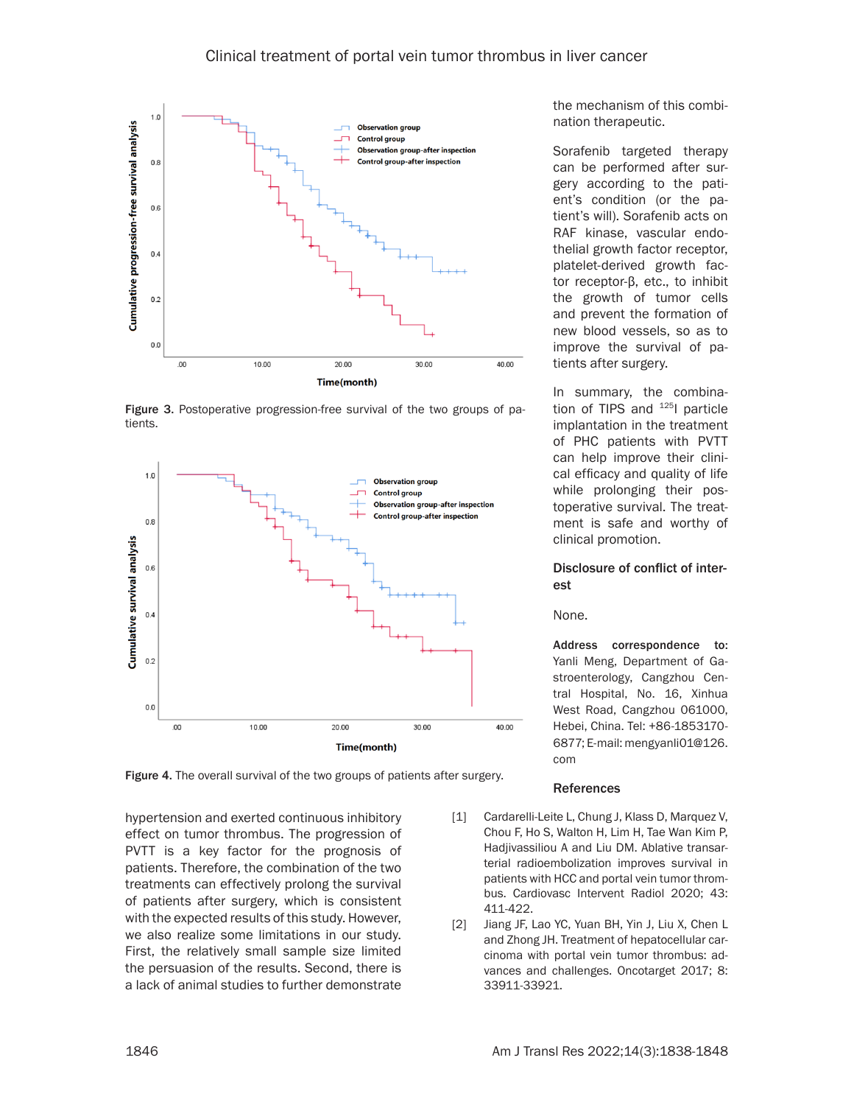

Figure 3. Postoperative progression-free survival of the two groups of patients.



Figure 4. The overall survival of the two groups of patients after surgery.

hypertension and exerted continuous inhibitory effect on tumor thrombus. The progression of PVTT is a key factor for the prognosis of patients. Therefore, the combination of the two treatments can effectively prolong the survival of patients after surgery, which is consistent with the expected results of this study. However, we also realize some limitations in our study. First, the relatively small sample size limited the persuasion of the results. Second, there is a lack of animal studies to further demonstrate

the mechanism of this combination therapeutic.

Sorafenib targeted therapy can be performed after surgery according to the patient's condition (or the patient's will). Sorafenib acts on RAF kinase, vascular endothelial growth factor receptor, platelet-derived growth factor receptor-β, etc., to inhibit the growth of tumor cells and prevent the formation of new blood vessels, so as to improve the survival of patients after surgery.

In summary, the combination of TIPS and <sup>125</sup>l particle implantation in the treatment of PHC patients with PVTT can help improve their clinical efficacy and quality of life while prolonging their postoperative survival. The treatment is safe and worthy of clinical promotion.

#### Disclosure of conflict of interest

None.

Address correspondence to: Yanli Meng, Department of Gastroenterology, Cangzhou Central Hospital, No. 16, Xinhua West Road, Cangzhou 061000, Hebei, China. Tel: +86-1853170- 6877; E-mail: [mengyanli01@126.](mailto:mengyanli01@126.com
) [com](mailto:mengyanli01@126.com
)

#### References

- [1] Cardarelli-Leite L, Chung J, Klass D, Marquez V, Chou F, Ho S, Walton H, Lim H, Tae Wan Kim P, Hadiivassiliou A and Liu DM. Ablative transarterial radioembolization improves survival in patients with HCC and portal vein tumor thrombus. Cardiovasc Intervent Radiol 2020; 43: 411-422.
- [2] Jiang JF, Lao YC, Yuan BH, Yin J, Liu X, Chen L and Zhong JH. Treatment of hepatocellular carcinoma with portal vein tumor thrombus: advances and challenges. Oncotarget 2017; 8: 33911-33921.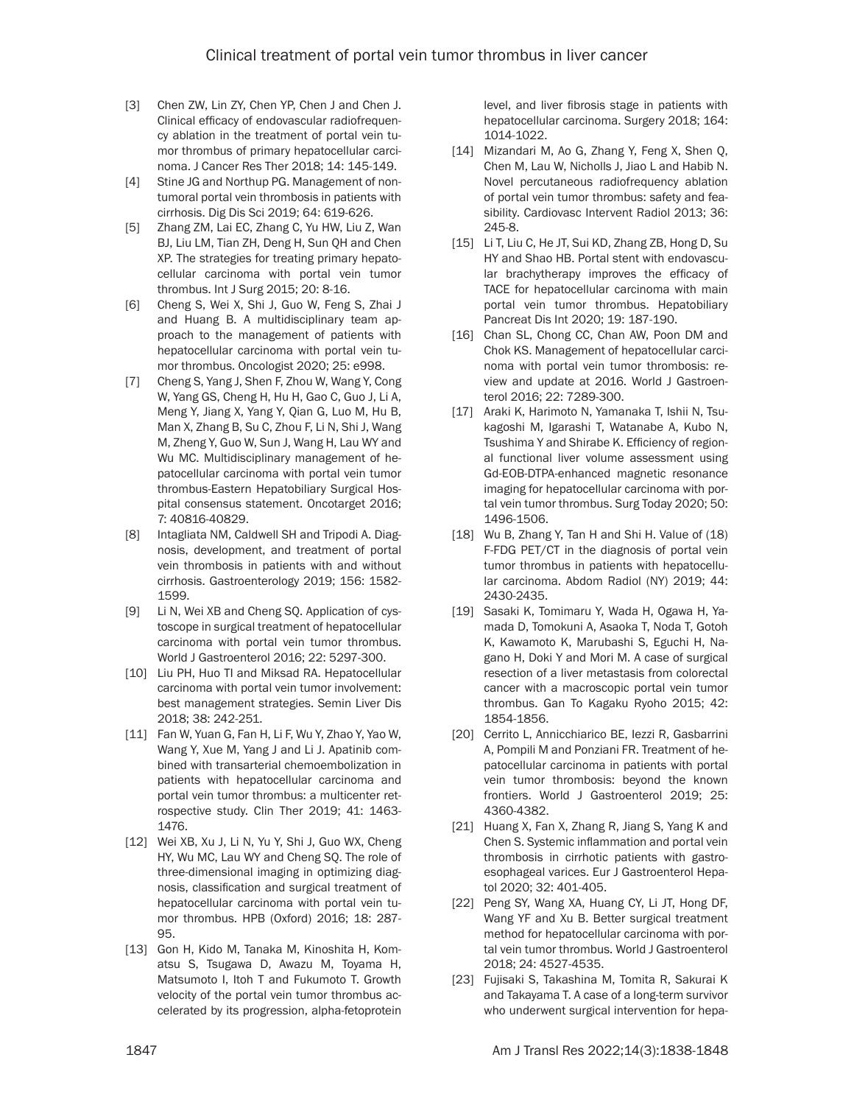- [3] Chen ZW, Lin ZY, Chen YP, Chen J and Chen J. Clinical efficacy of endovascular radiofrequency ablation in the treatment of portal vein tumor thrombus of primary hepatocellular carcinoma. J Cancer Res Ther 2018; 14: 145-149.
- [4] Stine JG and Northup PG. Management of nontumoral portal vein thrombosis in patients with cirrhosis. Dig Dis Sci 2019; 64: 619-626.
- [5] Zhang ZM, Lai EC, Zhang C, Yu HW, Liu Z, Wan BJ, Liu LM, Tian ZH, Deng H, Sun QH and Chen XP. The strategies for treating primary hepatocellular carcinoma with portal vein tumor thrombus. Int J Surg 2015; 20: 8-16.
- [6] Cheng S, Wei X, Shi J, Guo W, Feng S, Zhai J and Huang B. A multidisciplinary team approach to the management of patients with hepatocellular carcinoma with portal vein tumor thrombus. Oncologist 2020; 25: e998.
- [7] Cheng S, Yang J, Shen F, Zhou W, Wang Y, Cong W, Yang GS, Cheng H, Hu H, Gao C, Guo J, Li A, Meng Y, Jiang X, Yang Y, Qian G, Luo M, Hu B, Man X, Zhang B, Su C, Zhou F, Li N, Shi J, Wang M, Zheng Y, Guo W, Sun J, Wang H, Lau WY and Wu MC. Multidisciplinary management of hepatocellular carcinoma with portal vein tumor thrombus-Eastern Hepatobiliary Surgical Hospital consensus statement. Oncotarget 2016; 7: 40816-40829.
- [8] Intagliata NM, Caldwell SH and Tripodi A. Diagnosis, development, and treatment of portal vein thrombosis in patients with and without cirrhosis. Gastroenterology 2019; 156: 1582- 1599.
- [9] Li N, Wei XB and Cheng SQ. Application of cystoscope in surgical treatment of hepatocellular carcinoma with portal vein tumor thrombus. World J Gastroenterol 2016; 22: 5297-300.
- [10] Liu PH, Huo TI and Miksad RA. Hepatocellular carcinoma with portal vein tumor involvement: best management strategies. Semin Liver Dis 2018; 38: 242-251.
- [11] Fan W, Yuan G, Fan H, Li F, Wu Y, Zhao Y, Yao W, Wang Y, Xue M, Yang J and Li J. Apatinib combined with transarterial chemoembolization in patients with hepatocellular carcinoma and portal vein tumor thrombus: a multicenter retrospective study. Clin Ther 2019; 41: 1463- 1476.
- [12] Wei XB, Xu J, Li N, Yu Y, Shi J, Guo WX, Cheng HY, Wu MC, Lau WY and Cheng SQ. The role of three-dimensional imaging in optimizing diagnosis, classification and surgical treatment of hepatocellular carcinoma with portal vein tumor thrombus. HPB (Oxford) 2016; 18: 287- 95.
- [13] Gon H, Kido M, Tanaka M, Kinoshita H, Komatsu S, Tsugawa D, Awazu M, Toyama H, Matsumoto I, Itoh T and Fukumoto T. Growth velocity of the portal vein tumor thrombus accelerated by its progression, alpha-fetoprotein

level, and liver fibrosis stage in patients with hepatocellular carcinoma. Surgery 2018; 164: 1014-1022.

- [14] Mizandari M, Ao G, Zhang Y, Feng X, Shen Q, Chen M, Lau W, Nicholls J, Jiao L and Habib N. Novel percutaneous radiofrequency ablation of portal vein tumor thrombus: safety and feasibility. Cardiovasc Intervent Radiol 2013; 36: 245-8.
- [15] Li T, Liu C, He JT, Sui KD, Zhang ZB, Hong D, Su HY and Shao HB. Portal stent with endovascular brachytherapy improves the efficacy of TACE for hepatocellular carcinoma with main portal vein tumor thrombus. Hepatobiliary Pancreat Dis Int 2020; 19: 187-190.
- [16] Chan SL, Chong CC, Chan AW, Poon DM and Chok KS. Management of hepatocellular carcinoma with portal vein tumor thrombosis: review and update at 2016. World J Gastroenterol 2016; 22: 7289-300.
- [17] Araki K, Harimoto N, Yamanaka T, Ishii N, Tsukagoshi M, Igarashi T, Watanabe A, Kubo N, Tsushima Y and Shirabe K. Efficiency of regional functional liver volume assessment using Gd-EOB-DTPA-enhanced magnetic resonance imaging for hepatocellular carcinoma with portal vein tumor thrombus. Surg Today 2020; 50: 1496-1506.
- [18] Wu B, Zhang Y, Tan H and Shi H. Value of (18) F-FDG PET/CT in the diagnosis of portal vein tumor thrombus in patients with hepatocellular carcinoma. Abdom Radiol (NY) 2019; 44: 2430-2435.
- [19] Sasaki K, Tomimaru Y, Wada H, Ogawa H, Yamada D, Tomokuni A, Asaoka T, Noda T, Gotoh K, Kawamoto K, Marubashi S, Eguchi H, Nagano H, Doki Y and Mori M. A case of surgical resection of a liver metastasis from colorectal cancer with a macroscopic portal vein tumor thrombus. Gan To Kagaku Ryoho 2015; 42: 1854-1856.
- [20] Cerrito L, Annicchiarico BE, Iezzi R, Gasbarrini A, Pompili M and Ponziani FR. Treatment of hepatocellular carcinoma in patients with portal vein tumor thrombosis: beyond the known frontiers. World J Gastroenterol 2019; 25: 4360-4382.
- [21] Huang X, Fan X, Zhang R, Jiang S, Yang K and Chen S. Systemic inflammation and portal vein thrombosis in cirrhotic patients with gastroesophageal varices. Eur J Gastroenterol Hepatol 2020; 32: 401-405.
- [22] Peng SY, Wang XA, Huang CY, Li JT, Hong DF, Wang YF and Xu B. Better surgical treatment method for hepatocellular carcinoma with portal vein tumor thrombus. World J Gastroenterol 2018; 24: 4527-4535.
- [23] Fujisaki S, Takashina M, Tomita R, Sakurai K and Takayama T. A case of a long-term survivor who underwent surgical intervention for hepa-